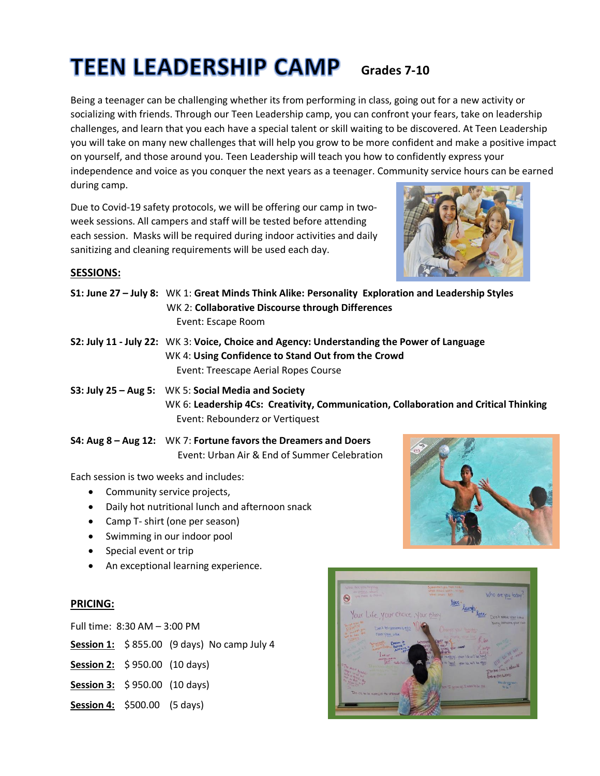# **TEEN LEADERSHIP CAMP** Grades 7-10

Being a teenager can be challenging whether its from performing in class, going out for a new activity or socializing with friends. Through our Teen Leadership camp, you can confront your fears, take on leadership challenges, and learn that you each have a special talent or skill waiting to be discovered. At Teen Leadership you will take on many new challenges that will help you grow to be more confident and make a positive impact on yourself, and those around you. Teen Leadership will teach you how to confidently express your independence and voice as you conquer the next years as a teenager. Community service hours can be earned during camp.

Due to Covid-19 safety protocols, we will be offering our camp in twoweek sessions. All campers and staff will be tested before attending each session. Masks will be required during indoor activities and daily sanitizing and cleaning requirements will be used each day.



# **SESSIONS:**

- **S1: June 27 – July 8:** WK 1: **Great Minds Think Alike: Personality Exploration and Leadership Styles** WK 2: **Collaborative Discourse through Differences** Event: Escape Room
- **S2: July 11 - July 22:** WK 3: **Voice, Choice and Agency: Understanding the Power of Language** WK 4: **Using Confidence to Stand Out from the Crowd** Event: Treescape Aerial Ropes Course
- **S3: July 25 – Aug 5:** WK 5: **Social Media and Society** WK 6: **Leadership 4Cs: Creativity, Communication, Collaboration and Critical Thinking** Event: Rebounderz or Vertiquest
- **S4: Aug 8 – Aug 12:** WK 7: **Fortune favors the Dreamers and Doers** Event: Urban Air & End of Summer Celebration

Each session is two weeks and includes:

- Community service projects,
- Daily hot nutritional lunch and afternoon snack
- Camp T- shirt (one per season)
- Swimming in our indoor pool
- Special event or trip
- An exceptional learning experience.

# **PRICING:**

Full time: 8:30 AM – 3:00 PM

- **Session 1:** \$ 855.00 (9 days) No camp July 4
- **Session 2:** \$ 950.00 (10 days)
- **Session 3:** \$ 950.00 (10 days)
- **Session 4:** \$500.00 (5 days)